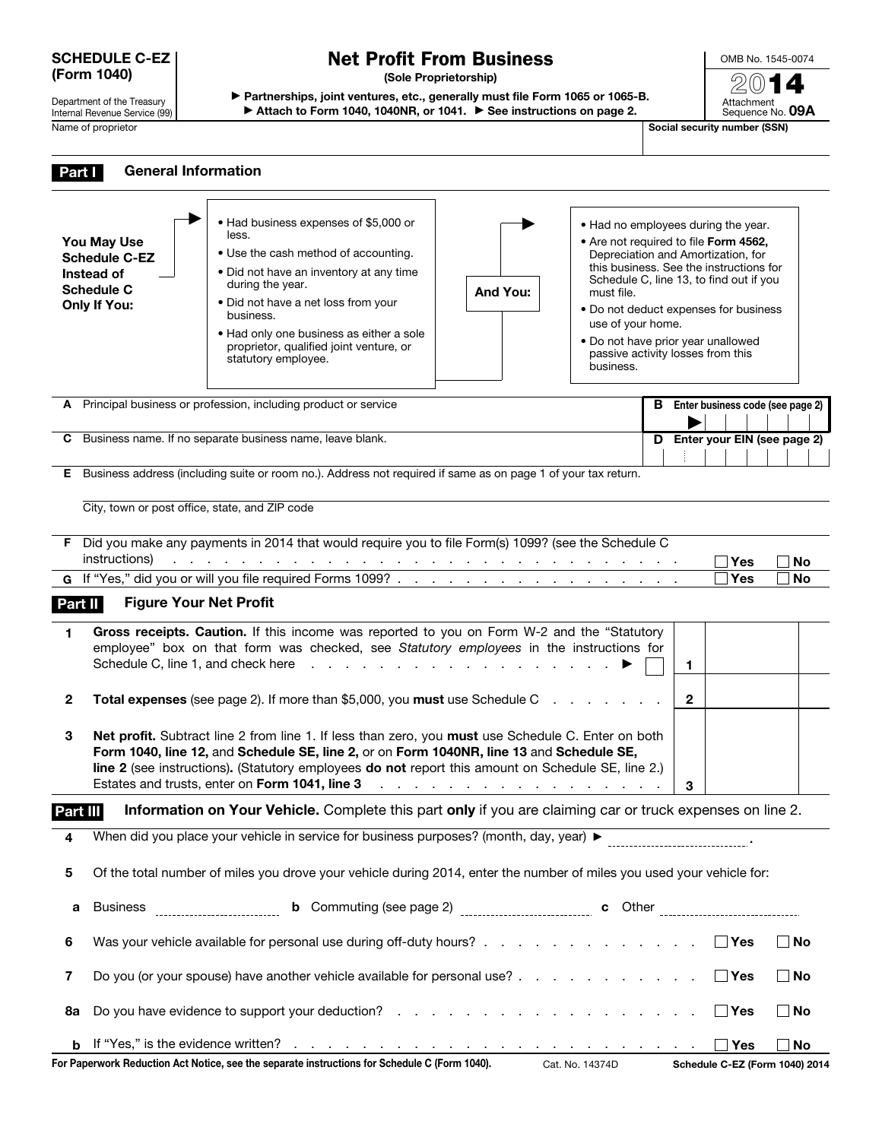#### SCHEDULE C-EZ (Form 1040)

Department of the Treasury Internal Revenue Service (99) Name of proprietor Social security number (SSN)

# Net Profit From Business

(Sole Proprietorship)

▶ Partnerships, joint ventures, etc., generally must file Form 1065 or 1065-B.

▶ Attach to Form 1040, 1040NR, or 1041. ▶ See instructions on page 2.

OMB No. 1545-0074 2014 Attachment Sequence No. 09A

| Part I                                                          | <b>General Information</b>                                                                                            |                                                                                                                                                                                                                                                                                                                                                                                                                        |                                                                                                                                                                                                                                |                                                                                                                         |    |                                                                                                                                                                                                                                                   |                 |  |  |
|-----------------------------------------------------------------|-----------------------------------------------------------------------------------------------------------------------|------------------------------------------------------------------------------------------------------------------------------------------------------------------------------------------------------------------------------------------------------------------------------------------------------------------------------------------------------------------------------------------------------------------------|--------------------------------------------------------------------------------------------------------------------------------------------------------------------------------------------------------------------------------|-------------------------------------------------------------------------------------------------------------------------|----|---------------------------------------------------------------------------------------------------------------------------------------------------------------------------------------------------------------------------------------------------|-----------------|--|--|
|                                                                 |                                                                                                                       |                                                                                                                                                                                                                                                                                                                                                                                                                        |                                                                                                                                                                                                                                |                                                                                                                         |    |                                                                                                                                                                                                                                                   |                 |  |  |
|                                                                 | You May Use<br><b>Schedule C-EZ</b><br>Instead of<br><b>Schedule C</b><br><b>Only If You:</b>                         | • Had business expenses of \$5,000 or<br>less.<br>• Use the cash method of accounting.<br>• Did not have an inventory at any time<br>during the year.<br>• Did not have a net loss from your<br>business.<br>. Had only one business as either a sole<br>proprietor, qualified joint venture, or<br>statutory employee.                                                                                                | And You:                                                                                                                                                                                                                       | must file.<br>use of your home.<br>. Do not have prior year unallowed<br>passive activity losses from this<br>business. |    | • Had no employees during the year.<br>• Are not required to file Form 4562,<br>Depreciation and Amortization, for<br>this business. See the instructions for<br>Schedule C, line 13, to find out if you<br>• Do not deduct expenses for business |                 |  |  |
|                                                                 |                                                                                                                       | A Principal business or profession, including product or service                                                                                                                                                                                                                                                                                                                                                       |                                                                                                                                                                                                                                |                                                                                                                         |    | <b>B</b> Enter business code (see page 2)                                                                                                                                                                                                         |                 |  |  |
| Business name. If no separate business name, leave blank.<br>C. |                                                                                                                       |                                                                                                                                                                                                                                                                                                                                                                                                                        |                                                                                                                                                                                                                                |                                                                                                                         |    | D Enter your EIN (see page 2)                                                                                                                                                                                                                     |                 |  |  |
|                                                                 |                                                                                                                       |                                                                                                                                                                                                                                                                                                                                                                                                                        |                                                                                                                                                                                                                                |                                                                                                                         |    |                                                                                                                                                                                                                                                   |                 |  |  |
| Е.                                                              |                                                                                                                       | Business address (including suite or room no.). Address not required if same as on page 1 of your tax return.                                                                                                                                                                                                                                                                                                          |                                                                                                                                                                                                                                |                                                                                                                         |    |                                                                                                                                                                                                                                                   |                 |  |  |
|                                                                 | City, town or post office, state, and ZIP code                                                                        |                                                                                                                                                                                                                                                                                                                                                                                                                        |                                                                                                                                                                                                                                |                                                                                                                         |    |                                                                                                                                                                                                                                                   |                 |  |  |
| Part II                                                         | instructions)<br><b>Figure Your Net Profit</b>                                                                        | F Did you make any payments in 2014 that would require you to file Form(s) 1099? (see the Schedule C<br>بمناقض والمناقص والمناقص والمناقص والمناقص والمناقص والمناقص والمناقص والمناقص والمناقص والمناقص                                                                                                                                                                                                               |                                                                                                                                                                                                                                |                                                                                                                         |    | ∃Yes<br><b>Yes</b>                                                                                                                                                                                                                                | No<br><b>No</b> |  |  |
| 1.                                                              |                                                                                                                       | Gross receipts. Caution. If this income was reported to you on Form W-2 and the "Statutory<br>employee" box on that form was checked, see Statutory employees in the instructions for<br>Schedule C, line 1, and check here reading the reading to the reading schedule C, line 1, and check here reading to the reading of the state of the state of the state of the state of the state of the state of the state of |                                                                                                                                                                                                                                |                                                                                                                         | 1. |                                                                                                                                                                                                                                                   |                 |  |  |
| $\mathbf{2}$                                                    | Total expenses (see page 2). If more than \$5,000, you must use Schedule C                                            |                                                                                                                                                                                                                                                                                                                                                                                                                        |                                                                                                                                                                                                                                |                                                                                                                         |    |                                                                                                                                                                                                                                                   |                 |  |  |
| 3                                                               |                                                                                                                       | Net profit. Subtract line 2 from line 1. If less than zero, you must use Schedule C. Enter on both<br>Form 1040, line 12, and Schedule SE, line 2, or on Form 1040NR, line 13 and Schedule SE,<br>line 2 (see instructions). (Statutory employees do not report this amount on Schedule SE, line 2.)<br>Estates and trusts, enter on Form 1041, line 3                                                                 | the contract of the contract of the contract of the contract of the contract of the contract of the contract of the contract of the contract of the contract of the contract of the contract of the contract of the contract o |                                                                                                                         | 3  |                                                                                                                                                                                                                                                   |                 |  |  |
| Part III                                                        |                                                                                                                       | Information on Your Vehicle. Complete this part only if you are claiming car or truck expenses on line 2.                                                                                                                                                                                                                                                                                                              |                                                                                                                                                                                                                                |                                                                                                                         |    |                                                                                                                                                                                                                                                   |                 |  |  |
|                                                                 |                                                                                                                       |                                                                                                                                                                                                                                                                                                                                                                                                                        |                                                                                                                                                                                                                                |                                                                                                                         |    |                                                                                                                                                                                                                                                   |                 |  |  |
| 5                                                               | Of the total number of miles you drove your vehicle during 2014, enter the number of miles you used your vehicle for: |                                                                                                                                                                                                                                                                                                                                                                                                                        |                                                                                                                                                                                                                                |                                                                                                                         |    |                                                                                                                                                                                                                                                   |                 |  |  |
| а                                                               | <b>Business</b>                                                                                                       |                                                                                                                                                                                                                                                                                                                                                                                                                        |                                                                                                                                                                                                                                |                                                                                                                         |    |                                                                                                                                                                                                                                                   |                 |  |  |
| 6                                                               |                                                                                                                       | Was your vehicle available for personal use during off-duty hours?                                                                                                                                                                                                                                                                                                                                                     |                                                                                                                                                                                                                                |                                                                                                                         |    | ∣ ∣Yes                                                                                                                                                                                                                                            | $\Box$ No       |  |  |
| 7                                                               | Do you (or your spouse) have another vehicle available for personal use?                                              |                                                                                                                                                                                                                                                                                                                                                                                                                        |                                                                                                                                                                                                                                |                                                                                                                         |    |                                                                                                                                                                                                                                                   | $\Box$ No       |  |  |
| 8a                                                              |                                                                                                                       |                                                                                                                                                                                                                                                                                                                                                                                                                        |                                                                                                                                                                                                                                |                                                                                                                         |    | $\Box$ Yes                                                                                                                                                                                                                                        | $\Box$ No       |  |  |
| b                                                               |                                                                                                                       |                                                                                                                                                                                                                                                                                                                                                                                                                        |                                                                                                                                                                                                                                |                                                                                                                         |    | $\Box$ Yes                                                                                                                                                                                                                                        | No              |  |  |
|                                                                 |                                                                                                                       | For Paperwork Reduction Act Notice, see the separate instructions for Schedule C (Form 1040). Cat. No. 14374D                                                                                                                                                                                                                                                                                                          |                                                                                                                                                                                                                                |                                                                                                                         |    | Schedule C-EZ (Form 1040) 2014                                                                                                                                                                                                                    |                 |  |  |